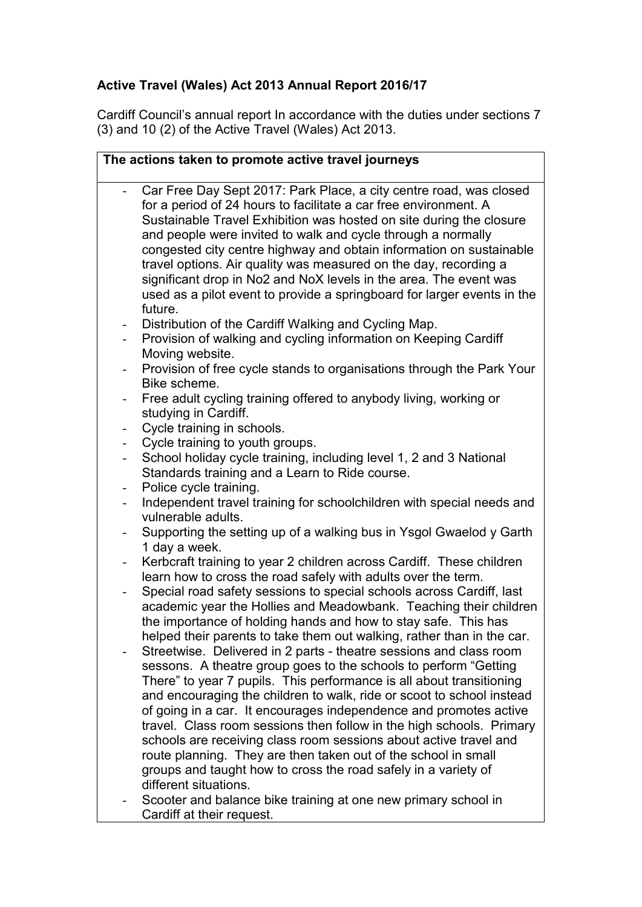## **Active Travel (Wales) Act 2013 Annual Report 2016/17**

Cardiff Council's annual report In accordance with the duties under sections 7 (3) and 10 (2) of the Active Travel (Wales) Act 2013.

| The actions taken to promote active travel journeys |                                                                                                                                                                                                                                                                                                                                                                                                                                                                                                                                                                                                                                                                                                                                          |
|-----------------------------------------------------|------------------------------------------------------------------------------------------------------------------------------------------------------------------------------------------------------------------------------------------------------------------------------------------------------------------------------------------------------------------------------------------------------------------------------------------------------------------------------------------------------------------------------------------------------------------------------------------------------------------------------------------------------------------------------------------------------------------------------------------|
| $\overline{\phantom{a}}$                            | Car Free Day Sept 2017: Park Place, a city centre road, was closed<br>for a period of 24 hours to facilitate a car free environment. A<br>Sustainable Travel Exhibition was hosted on site during the closure<br>and people were invited to walk and cycle through a normally<br>congested city centre highway and obtain information on sustainable<br>travel options. Air quality was measured on the day, recording a<br>significant drop in No2 and NoX levels in the area. The event was<br>used as a pilot event to provide a springboard for larger events in the<br>future.                                                                                                                                                      |
| $\overline{\phantom{0}}$                            | Distribution of the Cardiff Walking and Cycling Map.<br>Provision of walking and cycling information on Keeping Cardiff<br>Moving website.                                                                                                                                                                                                                                                                                                                                                                                                                                                                                                                                                                                               |
| $\overline{\phantom{a}}$                            | Provision of free cycle stands to organisations through the Park Your<br>Bike scheme.                                                                                                                                                                                                                                                                                                                                                                                                                                                                                                                                                                                                                                                    |
|                                                     | Free adult cycling training offered to anybody living, working or<br>studying in Cardiff.                                                                                                                                                                                                                                                                                                                                                                                                                                                                                                                                                                                                                                                |
| -                                                   | Cycle training in schools.                                                                                                                                                                                                                                                                                                                                                                                                                                                                                                                                                                                                                                                                                                               |
| -                                                   | Cycle training to youth groups.                                                                                                                                                                                                                                                                                                                                                                                                                                                                                                                                                                                                                                                                                                          |
| -                                                   | School holiday cycle training, including level 1, 2 and 3 National<br>Standards training and a Learn to Ride course.                                                                                                                                                                                                                                                                                                                                                                                                                                                                                                                                                                                                                     |
| $\overline{\phantom{a}}$                            | Police cycle training.                                                                                                                                                                                                                                                                                                                                                                                                                                                                                                                                                                                                                                                                                                                   |
|                                                     | Independent travel training for schoolchildren with special needs and<br>vulnerable adults.                                                                                                                                                                                                                                                                                                                                                                                                                                                                                                                                                                                                                                              |
| $\overline{\phantom{a}}$                            | Supporting the setting up of a walking bus in Ysgol Gwaelod y Garth<br>1 day a week.                                                                                                                                                                                                                                                                                                                                                                                                                                                                                                                                                                                                                                                     |
|                                                     | Kerbcraft training to year 2 children across Cardiff. These children<br>learn how to cross the road safely with adults over the term.                                                                                                                                                                                                                                                                                                                                                                                                                                                                                                                                                                                                    |
|                                                     | Special road safety sessions to special schools across Cardiff, last<br>academic year the Hollies and Meadowbank. Teaching their children<br>the importance of holding hands and how to stay safe. This has<br>helped their parents to take them out walking, rather than in the car.                                                                                                                                                                                                                                                                                                                                                                                                                                                    |
|                                                     | Streetwise. Delivered in 2 parts - theatre sessions and class room<br>sessons. A theatre group goes to the schools to perform "Getting<br>There" to year 7 pupils. This performance is all about transitioning<br>and encouraging the children to walk, ride or scoot to school instead<br>of going in a car. It encourages independence and promotes active<br>travel. Class room sessions then follow in the high schools. Primary<br>schools are receiving class room sessions about active travel and<br>route planning. They are then taken out of the school in small<br>groups and taught how to cross the road safely in a variety of<br>different situations.<br>Scooter and balance bike training at one new primary school in |
|                                                     | Cardiff at their request.                                                                                                                                                                                                                                                                                                                                                                                                                                                                                                                                                                                                                                                                                                                |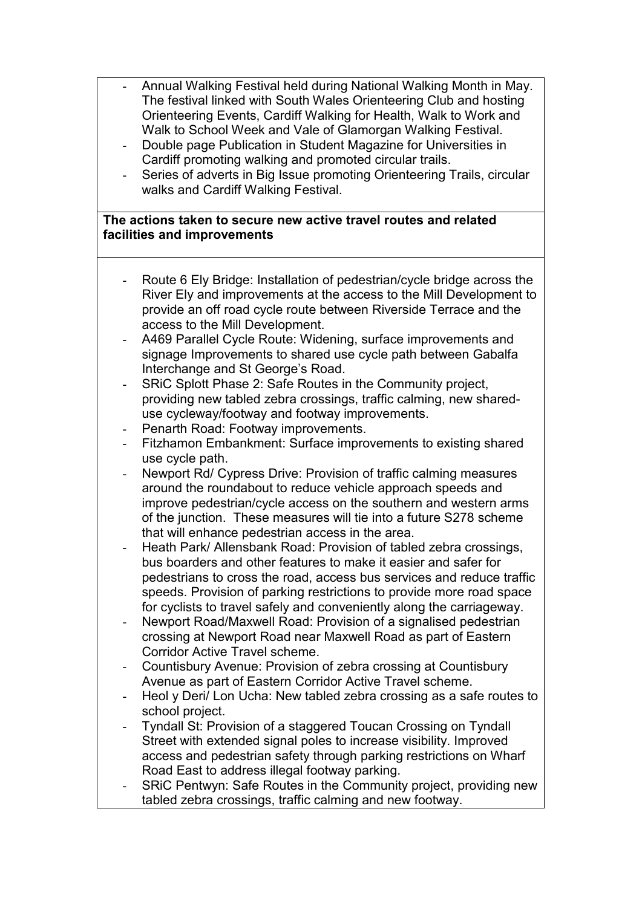- Annual Walking Festival held during National Walking Month in May. The festival linked with South Wales Orienteering Club and hosting Orienteering Events, Cardiff Walking for Health, Walk to Work and Walk to School Week and Vale of Glamorgan Walking Festival.
- Double page Publication in Student Magazine for Universities in Cardiff promoting walking and promoted circular trails.
- Series of adverts in Big Issue promoting Orienteering Trails, circular walks and Cardiff Walking Festival.

## **The actions taken to secure new active travel routes and related facilities and improvements**

- Route 6 Ely Bridge: Installation of pedestrian/cycle bridge across the River Ely and improvements at the access to the Mill Development to provide an off road cycle route between Riverside Terrace and the access to the Mill Development.
- A469 Parallel Cycle Route: Widening, surface improvements and signage Improvements to shared use cycle path between Gabalfa Interchange and St George's Road.
- SRIC Splott Phase 2: Safe Routes in the Community project, providing new tabled zebra crossings, traffic calming, new shareduse cycleway/footway and footway improvements.
- Penarth Road: Footway improvements.
- Fitzhamon Embankment: Surface improvements to existing shared use cycle path.
- Newport Rd/ Cypress Drive: Provision of traffic calming measures around the roundabout to reduce vehicle approach speeds and improve pedestrian/cycle access on the southern and western arms of the junction. These measures will tie into a future S278 scheme that will enhance pedestrian access in the area.
- Heath Park/ Allensbank Road: Provision of tabled zebra crossings, bus boarders and other features to make it easier and safer for pedestrians to cross the road, access bus services and reduce traffic speeds. Provision of parking restrictions to provide more road space for cyclists to travel safely and conveniently along the carriageway.
- Newport Road/Maxwell Road: Provision of a signalised pedestrian crossing at Newport Road near Maxwell Road as part of Eastern Corridor Active Travel scheme.
- Countisbury Avenue: Provision of zebra crossing at Countisbury Avenue as part of Eastern Corridor Active Travel scheme.
- Heol y Deri/ Lon Ucha: New tabled zebra crossing as a safe routes to school project.
- Tyndall St: Provision of a staggered Toucan Crossing on Tyndall Street with extended signal poles to increase visibility. Improved access and pedestrian safety through parking restrictions on Wharf Road East to address illegal footway parking.
- SRIC Pentwyn: Safe Routes in the Community project, providing new tabled zebra crossings, traffic calming and new footway.